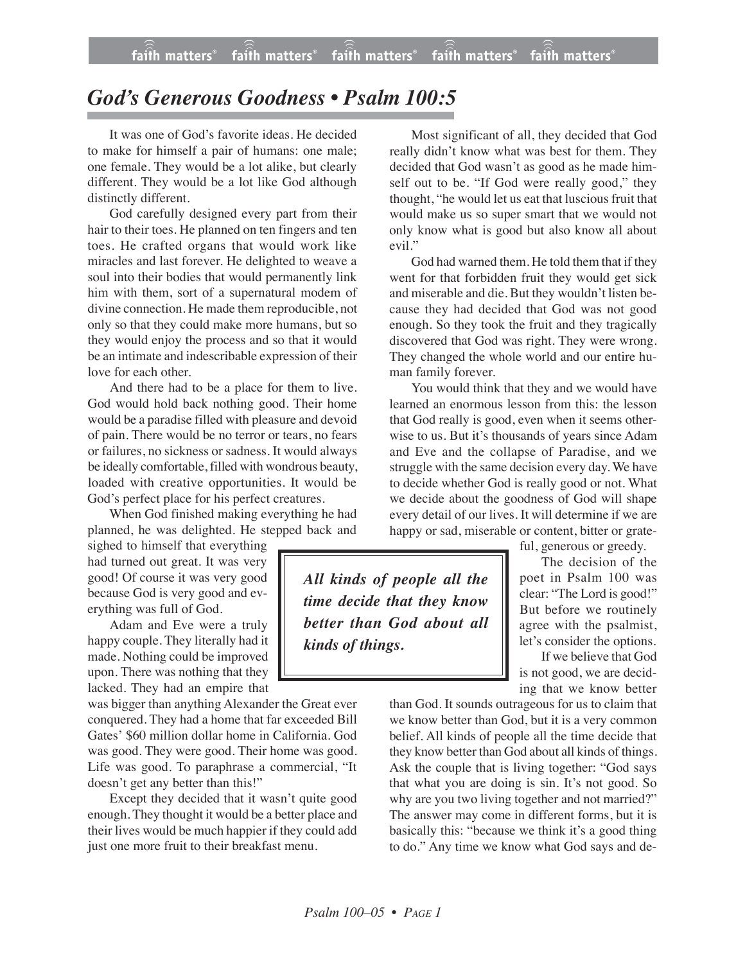## *God's Generous Goodness • Psalm 100:5*

It was one of God's favorite ideas. He decided to make for himself a pair of humans: one male; one female. They would be a lot alike, but clearly different. They would be a lot like God although distinctly different.

God carefully designed every part from their hair to their toes. He planned on ten fingers and ten toes. He crafted organs that would work like miracles and last forever. He delighted to weave a soul into their bodies that would permanently link him with them, sort of a supernatural modem of divine connection. He made them reproducible, not only so that they could make more humans, but so they would enjoy the process and so that it would be an intimate and indescribable expression of their love for each other.

And there had to be a place for them to live. God would hold back nothing good. Their home would be a paradise filled with pleasure and devoid of pain. There would be no terror or tears, no fears or failures, no sickness or sadness. It would always be ideally comfortable, filled with wondrous beauty, loaded with creative opportunities. It would be God's perfect place for his perfect creatures.

When God finished making everything he had planned, he was delighted. He stepped back and

sighed to himself that everything had turned out great. It was very good! Of course it was very good because God is very good and everything was full of God.

Adam and Eve were a truly happy couple. They literally had it made. Nothing could be improved upon. There was nothing that they lacked. They had an empire that

was bigger than anything Alexander the Great ever conquered. They had a home that far exceeded Bill Gates' \$60 million dollar home in California. God was good. They were good. Their home was good. Life was good. To paraphrase a commercial, "It doesn't get any better than this!"

Except they decided that it wasn't quite good enough. They thought it would be a better place and their lives would be much happier if they could add just one more fruit to their breakfast menu.

Most significant of all, they decided that God really didn't know what was best for them. They decided that God wasn't as good as he made himself out to be. "If God were really good," they thought, "he would let us eat that luscious fruit that would make us so super smart that we would not only know what is good but also know all about evil."

God had warned them. He told them that if they went for that forbidden fruit they would get sick and miserable and die. But they wouldn't listen because they had decided that God was not good enough. So they took the fruit and they tragically discovered that God was right. They were wrong. They changed the whole world and our entire human family forever.

You would think that they and we would have learned an enormous lesson from this: the lesson that God really is good, even when it seems otherwise to us. But it's thousands of years since Adam and Eve and the collapse of Paradise, and we struggle with the same decision every day. We have to decide whether God is really good or not. What we decide about the goodness of God will shape every detail of our lives. It will determine if we are happy or sad, miserable or content, bitter or grate-

*All kinds of people all the time decide that they know better than God about all kinds of things.*

ful, generous or greedy.

The decision of the poet in Psalm 100 was clear: "The Lord is good!" But before we routinely agree with the psalmist, let's consider the options.

If we believe that God is not good, we are deciding that we know better

than God. It sounds outrageous for us to claim that we know better than God, but it is a very common belief. All kinds of people all the time decide that they know better than God about all kinds of things. Ask the couple that is living together: "God says that what you are doing is sin. It's not good. So why are you two living together and not married?" The answer may come in different forms, but it is basically this: "because we think it's a good thing to do." Any time we know what God says and de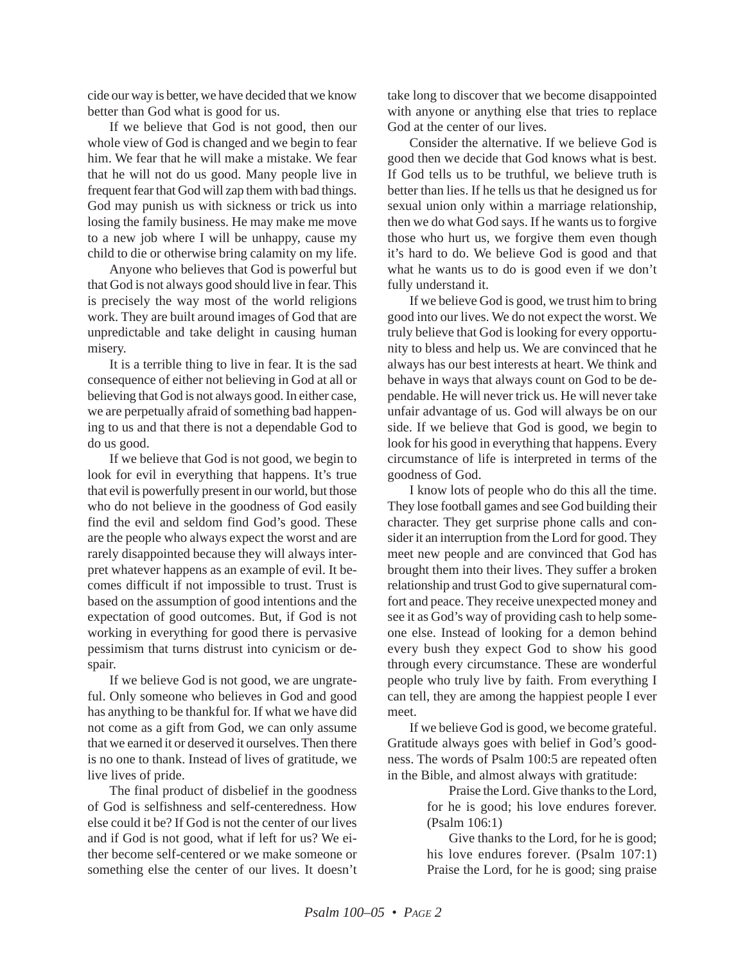cide our way is better, we have decided that we know better than God what is good for us.

If we believe that God is not good, then our whole view of God is changed and we begin to fear him. We fear that he will make a mistake. We fear that he will not do us good. Many people live in frequent fear that God will zap them with bad things. God may punish us with sickness or trick us into losing the family business. He may make me move to a new job where I will be unhappy, cause my child to die or otherwise bring calamity on my life.

Anyone who believes that God is powerful but that God is not always good should live in fear. This is precisely the way most of the world religions work. They are built around images of God that are unpredictable and take delight in causing human misery.

It is a terrible thing to live in fear. It is the sad consequence of either not believing in God at all or believing that God is not always good. In either case, we are perpetually afraid of something bad happening to us and that there is not a dependable God to do us good.

If we believe that God is not good, we begin to look for evil in everything that happens. It's true that evil is powerfully present in our world, but those who do not believe in the goodness of God easily find the evil and seldom find God's good. These are the people who always expect the worst and are rarely disappointed because they will always interpret whatever happens as an example of evil. It becomes difficult if not impossible to trust. Trust is based on the assumption of good intentions and the expectation of good outcomes. But, if God is not working in everything for good there is pervasive pessimism that turns distrust into cynicism or despair.

If we believe God is not good, we are ungrateful. Only someone who believes in God and good has anything to be thankful for. If what we have did not come as a gift from God, we can only assume that we earned it or deserved it ourselves. Then there is no one to thank. Instead of lives of gratitude, we live lives of pride.

The final product of disbelief in the goodness of God is selfishness and self-centeredness. How else could it be? If God is not the center of our lives and if God is not good, what if left for us? We either become self-centered or we make someone or something else the center of our lives. It doesn't take long to discover that we become disappointed with anyone or anything else that tries to replace God at the center of our lives.

Consider the alternative. If we believe God is good then we decide that God knows what is best. If God tells us to be truthful, we believe truth is better than lies. If he tells us that he designed us for sexual union only within a marriage relationship, then we do what God says. If he wants us to forgive those who hurt us, we forgive them even though it's hard to do. We believe God is good and that what he wants us to do is good even if we don't fully understand it.

If we believe God is good, we trust him to bring good into our lives. We do not expect the worst. We truly believe that God is looking for every opportunity to bless and help us. We are convinced that he always has our best interests at heart. We think and behave in ways that always count on God to be dependable. He will never trick us. He will never take unfair advantage of us. God will always be on our side. If we believe that God is good, we begin to look for his good in everything that happens. Every circumstance of life is interpreted in terms of the goodness of God.

I know lots of people who do this all the time. They lose football games and see God building their character. They get surprise phone calls and consider it an interruption from the Lord for good. They meet new people and are convinced that God has brought them into their lives. They suffer a broken relationship and trust God to give supernatural comfort and peace. They receive unexpected money and see it as God's way of providing cash to help someone else. Instead of looking for a demon behind every bush they expect God to show his good through every circumstance. These are wonderful people who truly live by faith. From everything I can tell, they are among the happiest people I ever meet.

If we believe God is good, we become grateful. Gratitude always goes with belief in God's goodness. The words of Psalm 100:5 are repeated often in the Bible, and almost always with gratitude:

> Praise the Lord. Give thanks to the Lord, for he is good; his love endures forever. (Psalm 106:1)

> Give thanks to the Lord, for he is good; his love endures forever. (Psalm 107:1) Praise the Lord, for he is good; sing praise